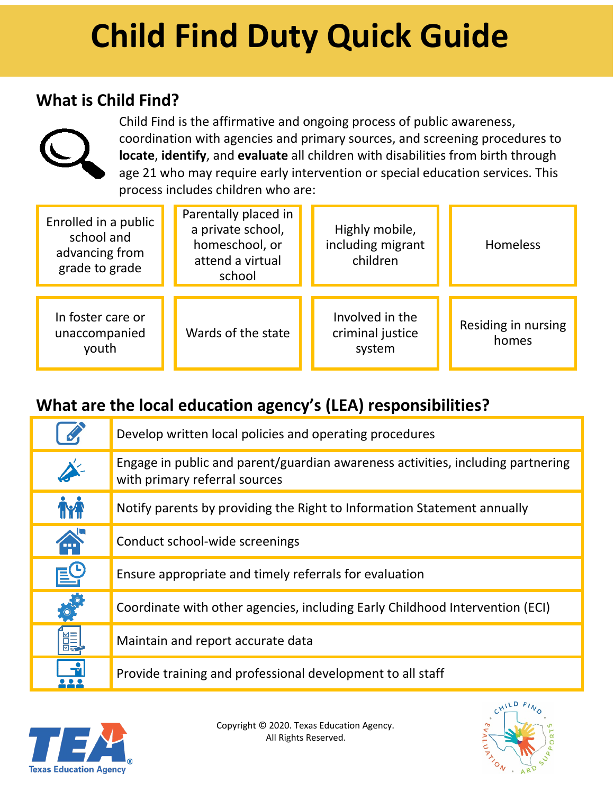# **Child Find Duty Quick Guide**

### **What is Child Find?**



Child Find is the affirmative and ongoing process of public awareness, coordination with agencies and primary sources, and screening procedures to **locate**, **identify**, and **evaluate** all children with disabilities from birth through age 21 who may require early intervention or special education services. This process includes children who are:

| Enrolled in a public<br>school and<br>advancing from<br>grade to grade | Parentally placed in<br>a private school,<br>homeschool, or<br>attend a virtual<br>school | Highly mobile,<br>including migrant<br>children | <b>Homeless</b>              |
|------------------------------------------------------------------------|-------------------------------------------------------------------------------------------|-------------------------------------------------|------------------------------|
| In foster care or<br>unaccompanied<br>youth                            | Wards of the state                                                                        | Involved in the<br>criminal justice<br>system   | Residing in nursing<br>homes |

## **What are the local education agency's (LEA) responsibilities?**

| $\mathscr{L}$                | Develop written local policies and operating procedures                                                          |
|------------------------------|------------------------------------------------------------------------------------------------------------------|
|                              | Engage in public and parent/guardian awareness activities, including partnering<br>with primary referral sources |
| <b>İYA</b>                   | Notify parents by providing the Right to Information Statement annually                                          |
| <b>A</b>                     | Conduct school-wide screenings                                                                                   |
|                              | Ensure appropriate and timely referrals for evaluation                                                           |
| $\frac{1}{2}$                | Coordinate with other agencies, including Early Childhood Intervention (ECI)                                     |
| <b>ALLE</b><br>Support       | Maintain and report accurate data                                                                                |
| $\left  \frac{1}{2} \right $ | Provide training and professional development to all staff                                                       |



Copyright © 2020. Texas Education Agency. All Rights Reserved.